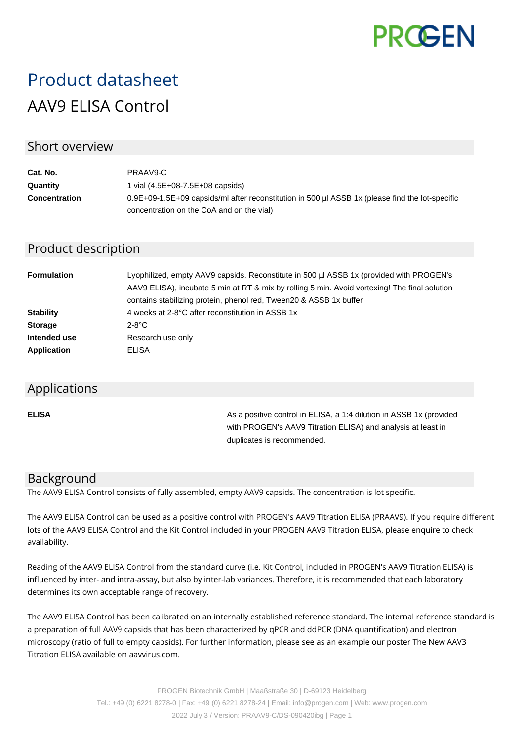

# Product datasheet AAV9 ELISA Control

## Short overview

| Cat. No.             | PRAAV9-C                                                                                        |
|----------------------|-------------------------------------------------------------------------------------------------|
| Quantity             | 1 vial $(4.5E+08-7.5E+08$ capsids)                                                              |
| <b>Concentration</b> | 0.9E+09-1.5E+09 capsids/ml after reconstitution in 500 µl ASSB 1x (please find the lot-specific |
|                      | concentration on the CoA and on the vial)                                                       |

# Product description

| <b>Formulation</b> | Lyophilized, empty AAV9 capsids. Reconstitute in 500 µl ASSB 1x (provided with PROGEN's<br>AAV9 ELISA), incubate 5 min at RT & mix by rolling 5 min. Avoid vortexing! The final solution<br>contains stabilizing protein, phenol red, Tween20 & ASSB 1x buffer |
|--------------------|----------------------------------------------------------------------------------------------------------------------------------------------------------------------------------------------------------------------------------------------------------------|
| <b>Stability</b>   | 4 weeks at 2-8°C after reconstitution in ASSB 1x                                                                                                                                                                                                               |
| <b>Storage</b>     | $2-8$ °C                                                                                                                                                                                                                                                       |
| Intended use       | Research use only                                                                                                                                                                                                                                              |
| <b>Application</b> | ELISA                                                                                                                                                                                                                                                          |

#### Applications

**ELISA As a positive control in ELISA, a 1:4 dilution in ASSB 1x (provided Assets** 1:4 dilution in ASSB 1x (provided with PROGEN's AAV9 Titration ELISA) and analysis at least in duplicates is recommended.

## Background

The AAV9 ELISA Control consists of fully assembled, empty AAV9 capsids. The concentration is lot specific.

The AAV9 ELISA Control can be used as a positive control with PROGEN's AAV9 Titration ELISA (PRAAV9). If you require different lots of the AAV9 ELISA Control and the Kit Control included in your PROGEN AAV9 Titration ELISA, please enquire to check availability.

Reading of the AAV9 ELISA Control from the standard curve (i.e. Kit Control, included in PROGEN's AAV9 Titration ELISA) is influenced by inter- and intra-assay, but also by inter-lab variances. Therefore, it is recommended that each laboratory determines its own acceptable range of recovery.

The AAV9 ELISA Control has been calibrated on an internally established reference standard. The internal reference standard is a preparation of full AAV9 capsids that has been characterized by qPCR and ddPCR (DNA quantification) and electron microscopy (ratio of full to empty capsids). For further information, please see as an example our poster The New AAV3 Titration ELISA available on aavvirus.com.